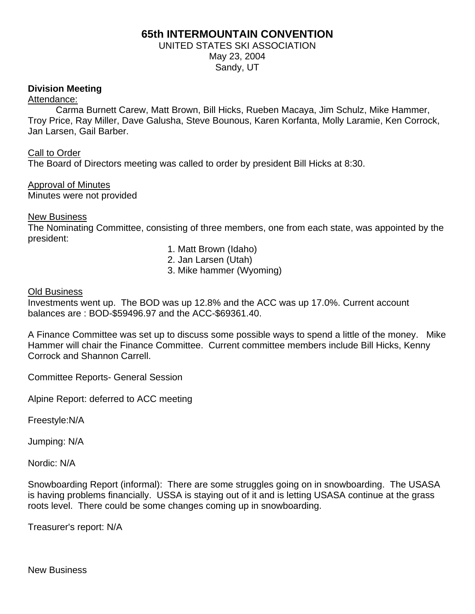# **65th INTERMOUNTAIN CONVENTION**

## UNITED STATES SKI ASSOCIATION May 23, 2004 Sandy, UT

## **Division Meeting**

#### Attendance:

 Carma Burnett Carew, Matt Brown, Bill Hicks, Rueben Macaya, Jim Schulz, Mike Hammer, Troy Price, Ray Miller, Dave Galusha, Steve Bounous, Karen Korfanta, Molly Laramie, Ken Corrock, Jan Larsen, Gail Barber.

### Call to Order

The Board of Directors meeting was called to order by president Bill Hicks at 8:30.

Approval of Minutes Minutes were not provided

### New Business

The Nominating Committee, consisting of three members, one from each state, was appointed by the president:

- 1. Matt Brown (Idaho)
- 2. Jan Larsen (Utah)
- 3. Mike hammer (Wyoming)

### Old Business

Investments went up. The BOD was up 12.8% and the ACC was up 17.0%. Current account balances are : BOD-\$59496.97 and the ACC-\$69361.40.

A Finance Committee was set up to discuss some possible ways to spend a little of the money. Mike Hammer will chair the Finance Committee. Current committee members include Bill Hicks, Kenny Corrock and Shannon Carrell.

Committee Reports- General Session

Alpine Report: deferred to ACC meeting

Freestyle:N/A

Jumping: N/A

Nordic: N/A

Snowboarding Report (informal): There are some struggles going on in snowboarding. The USASA is having problems financially. USSA is staying out of it and is letting USASA continue at the grass roots level. There could be some changes coming up in snowboarding.

Treasurer's report: N/A